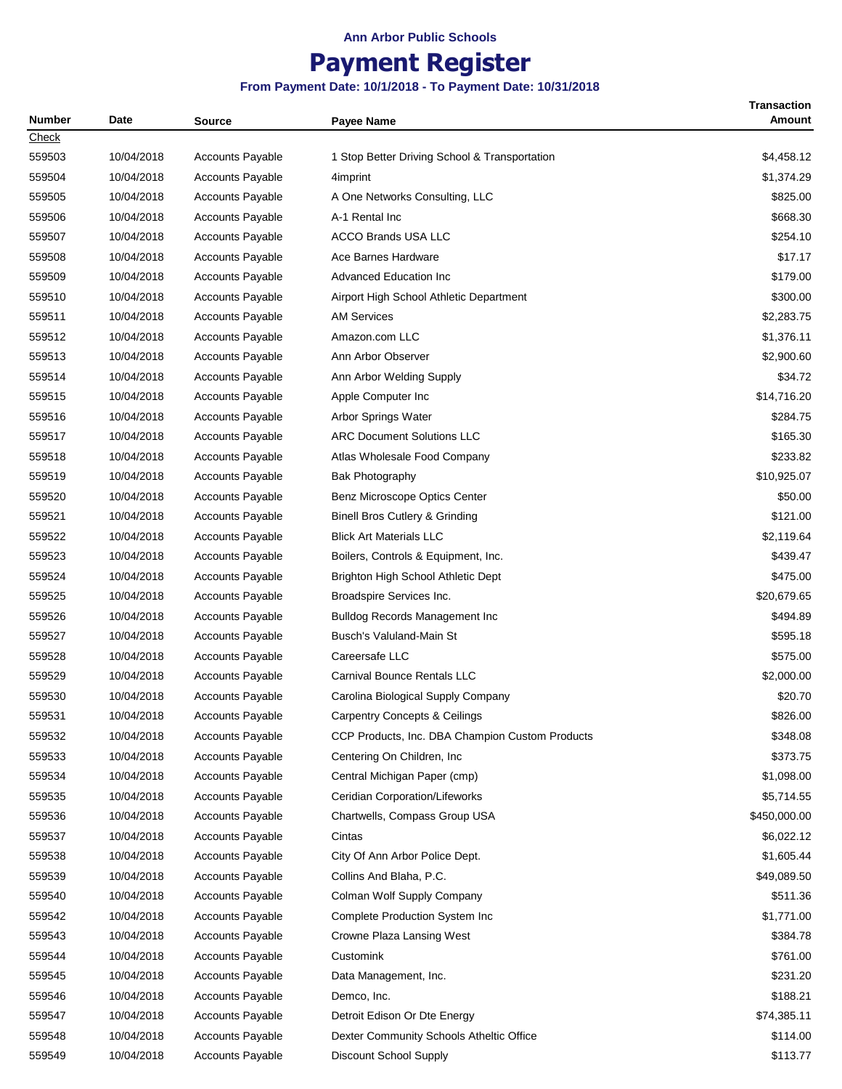## **Payment Register**

| <b>Number</b> | Date       | Source                  | <b>Payee Name</b>                               | <b>Transaction</b><br><b>Amount</b> |
|---------------|------------|-------------------------|-------------------------------------------------|-------------------------------------|
| Check         |            |                         |                                                 |                                     |
| 559503        | 10/04/2018 | <b>Accounts Payable</b> | 1 Stop Better Driving School & Transportation   | \$4,458.12                          |
| 559504        | 10/04/2018 | <b>Accounts Payable</b> | 4imprint                                        | \$1,374.29                          |
| 559505        | 10/04/2018 | <b>Accounts Payable</b> | A One Networks Consulting, LLC                  | \$825.00                            |
| 559506        | 10/04/2018 | <b>Accounts Payable</b> | A-1 Rental Inc                                  | \$668.30                            |
| 559507        | 10/04/2018 | <b>Accounts Payable</b> | <b>ACCO Brands USA LLC</b>                      | \$254.10                            |
| 559508        | 10/04/2018 | <b>Accounts Payable</b> | Ace Barnes Hardware                             | \$17.17                             |
| 559509        | 10/04/2018 | <b>Accounts Payable</b> | <b>Advanced Education Inc</b>                   | \$179.00                            |
| 559510        | 10/04/2018 | <b>Accounts Payable</b> | Airport High School Athletic Department         | \$300.00                            |
| 559511        | 10/04/2018 | <b>Accounts Payable</b> | <b>AM Services</b>                              | \$2,283.75                          |
| 559512        | 10/04/2018 | <b>Accounts Payable</b> | Amazon.com LLC                                  | \$1,376.11                          |
| 559513        | 10/04/2018 | <b>Accounts Payable</b> | Ann Arbor Observer                              | \$2,900.60                          |
| 559514        | 10/04/2018 | <b>Accounts Payable</b> | Ann Arbor Welding Supply                        | \$34.72                             |
| 559515        | 10/04/2018 | <b>Accounts Payable</b> | Apple Computer Inc                              | \$14,716.20                         |
| 559516        | 10/04/2018 | <b>Accounts Payable</b> | Arbor Springs Water                             | \$284.75                            |
| 559517        | 10/04/2018 | <b>Accounts Payable</b> | <b>ARC Document Solutions LLC</b>               | \$165.30                            |
| 559518        | 10/04/2018 | <b>Accounts Payable</b> | Atlas Wholesale Food Company                    | \$233.82                            |
| 559519        | 10/04/2018 | <b>Accounts Payable</b> | <b>Bak Photography</b>                          | \$10,925.07                         |
| 559520        | 10/04/2018 | <b>Accounts Payable</b> | Benz Microscope Optics Center                   | \$50.00                             |
| 559521        | 10/04/2018 | <b>Accounts Payable</b> | Binell Bros Cutlery & Grinding                  | \$121.00                            |
| 559522        | 10/04/2018 | <b>Accounts Payable</b> | <b>Blick Art Materials LLC</b>                  | \$2,119.64                          |
| 559523        | 10/04/2018 | <b>Accounts Payable</b> | Boilers, Controls & Equipment, Inc.             | \$439.47                            |
| 559524        | 10/04/2018 | <b>Accounts Payable</b> | Brighton High School Athletic Dept              | \$475.00                            |
| 559525        | 10/04/2018 | <b>Accounts Payable</b> | Broadspire Services Inc.                        | \$20,679.65                         |
| 559526        | 10/04/2018 | <b>Accounts Payable</b> | <b>Bulldog Records Management Inc</b>           | \$494.89                            |
| 559527        | 10/04/2018 | <b>Accounts Payable</b> | Busch's Valuland-Main St                        | \$595.18                            |
| 559528        | 10/04/2018 | <b>Accounts Payable</b> | Careersafe LLC                                  | \$575.00                            |
| 559529        | 10/04/2018 | <b>Accounts Payable</b> | Carnival Bounce Rentals LLC                     | \$2,000.00                          |
| 559530        | 10/04/2018 | <b>Accounts Payable</b> | Carolina Biological Supply Company              | \$20.70                             |
| 559531        | 10/04/2018 | Accounts Payable        | <b>Carpentry Concepts &amp; Ceilings</b>        | \$826.00                            |
| 559532        | 10/04/2018 | <b>Accounts Payable</b> | CCP Products, Inc. DBA Champion Custom Products | \$348.08                            |
| 559533        | 10/04/2018 | <b>Accounts Payable</b> | Centering On Children, Inc.                     | \$373.75                            |
| 559534        | 10/04/2018 | <b>Accounts Payable</b> | Central Michigan Paper (cmp)                    | \$1,098.00                          |
| 559535        | 10/04/2018 | <b>Accounts Payable</b> | Ceridian Corporation/Lifeworks                  | \$5,714.55                          |
| 559536        | 10/04/2018 | <b>Accounts Payable</b> | Chartwells, Compass Group USA                   | \$450,000.00                        |
| 559537        | 10/04/2018 | <b>Accounts Payable</b> | Cintas                                          | \$6,022.12                          |
| 559538        | 10/04/2018 | Accounts Payable        | City Of Ann Arbor Police Dept.                  | \$1,605.44                          |
| 559539        | 10/04/2018 | <b>Accounts Payable</b> | Collins And Blaha, P.C.                         | \$49,089.50                         |
| 559540        | 10/04/2018 | <b>Accounts Payable</b> | Colman Wolf Supply Company                      | \$511.36                            |
| 559542        | 10/04/2018 | <b>Accounts Payable</b> | Complete Production System Inc                  | \$1,771.00                          |
| 559543        | 10/04/2018 | <b>Accounts Payable</b> | Crowne Plaza Lansing West                       | \$384.78                            |
| 559544        | 10/04/2018 | <b>Accounts Payable</b> | Customink                                       | \$761.00                            |
| 559545        | 10/04/2018 | <b>Accounts Payable</b> | Data Management, Inc.                           | \$231.20                            |
| 559546        | 10/04/2018 | <b>Accounts Payable</b> | Demco, Inc.                                     | \$188.21                            |
| 559547        | 10/04/2018 | <b>Accounts Payable</b> | Detroit Edison Or Dte Energy                    | \$74,385.11                         |
| 559548        | 10/04/2018 | Accounts Payable        | Dexter Community Schools Atheltic Office        | \$114.00                            |
| 559549        | 10/04/2018 | Accounts Payable        | Discount School Supply                          | \$113.77                            |
|               |            |                         |                                                 |                                     |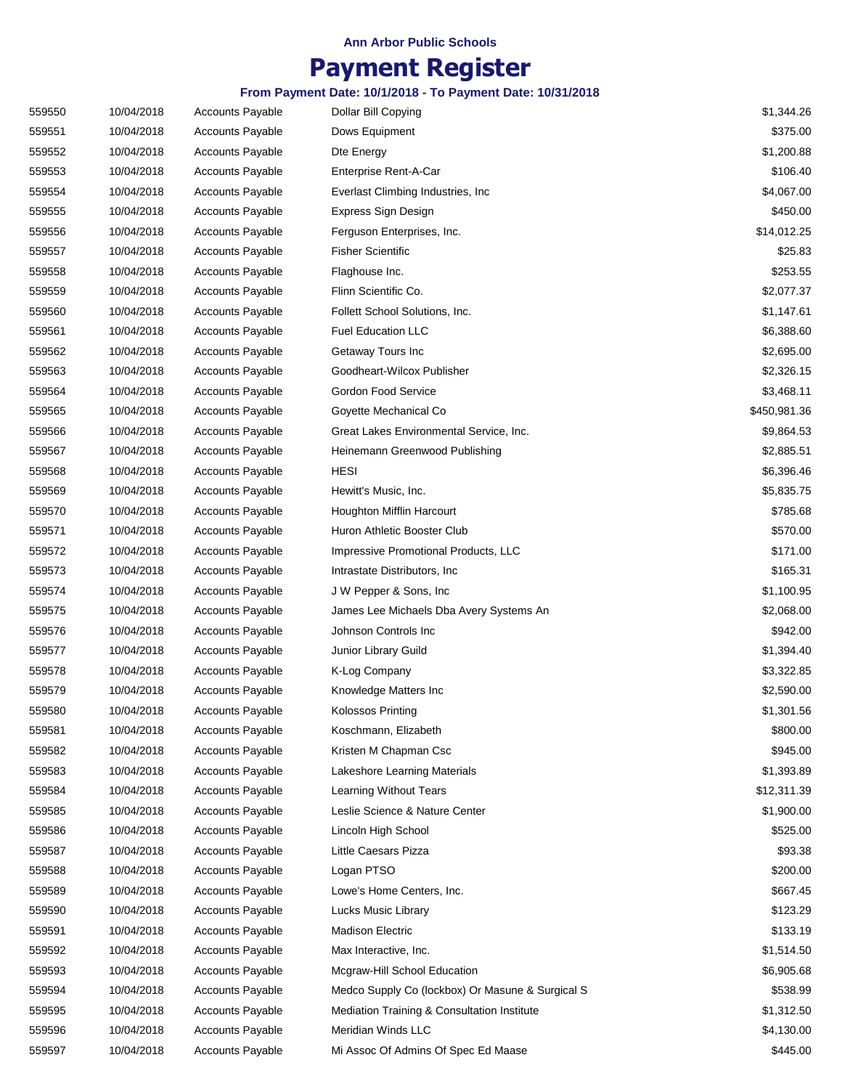# **Payment Register**

| 559550 | 10/04/2018 | <b>Accounts Payable</b> | Dollar Bill Copying                              | \$1,344.26   |
|--------|------------|-------------------------|--------------------------------------------------|--------------|
| 559551 | 10/04/2018 | <b>Accounts Payable</b> | Dows Equipment                                   | \$375.00     |
| 559552 | 10/04/2018 | <b>Accounts Payable</b> | Dte Energy                                       | \$1,200.88   |
| 559553 | 10/04/2018 | Accounts Payable        | Enterprise Rent-A-Car                            | \$106.40     |
| 559554 | 10/04/2018 | <b>Accounts Payable</b> | Everlast Climbing Industries, Inc.               | \$4,067.00   |
| 559555 | 10/04/2018 | <b>Accounts Payable</b> | Express Sign Design                              | \$450.00     |
| 559556 | 10/04/2018 | <b>Accounts Payable</b> | Ferguson Enterprises, Inc.                       | \$14,012.25  |
| 559557 | 10/04/2018 | Accounts Payable        | <b>Fisher Scientific</b>                         | \$25.83      |
| 559558 | 10/04/2018 | <b>Accounts Payable</b> | Flaghouse Inc.                                   | \$253.55     |
| 559559 | 10/04/2018 | <b>Accounts Payable</b> | Flinn Scientific Co.                             | \$2,077.37   |
| 559560 | 10/04/2018 | <b>Accounts Payable</b> | Follett School Solutions, Inc.                   | \$1,147.61   |
| 559561 | 10/04/2018 | <b>Accounts Payable</b> | <b>Fuel Education LLC</b>                        | \$6,388.60   |
| 559562 | 10/04/2018 | <b>Accounts Payable</b> | Getaway Tours Inc                                | \$2,695.00   |
| 559563 | 10/04/2018 | <b>Accounts Payable</b> | Goodheart-Wilcox Publisher                       | \$2,326.15   |
| 559564 | 10/04/2018 | <b>Accounts Payable</b> | Gordon Food Service                              | \$3,468.11   |
| 559565 | 10/04/2018 | Accounts Payable        | Goyette Mechanical Co                            | \$450,981.36 |
| 559566 | 10/04/2018 | <b>Accounts Payable</b> | Great Lakes Environmental Service, Inc.          | \$9,864.53   |
| 559567 | 10/04/2018 | Accounts Payable        | Heinemann Greenwood Publishing                   | \$2,885.51   |
| 559568 | 10/04/2018 | <b>Accounts Payable</b> | <b>HESI</b>                                      | \$6,396.46   |
| 559569 | 10/04/2018 | <b>Accounts Payable</b> | Hewitt's Music, Inc.                             | \$5,835.75   |
| 559570 | 10/04/2018 | <b>Accounts Payable</b> | Houghton Mifflin Harcourt                        | \$785.68     |
| 559571 | 10/04/2018 | <b>Accounts Payable</b> | Huron Athletic Booster Club                      | \$570.00     |
| 559572 | 10/04/2018 | Accounts Payable        | Impressive Promotional Products, LLC             | \$171.00     |
| 559573 | 10/04/2018 | <b>Accounts Payable</b> | Intrastate Distributors, Inc.                    | \$165.31     |
| 559574 | 10/04/2018 | <b>Accounts Payable</b> | J W Pepper & Sons, Inc                           | \$1,100.95   |
| 559575 | 10/04/2018 | <b>Accounts Payable</b> | James Lee Michaels Dba Avery Systems An          | \$2,068.00   |
| 559576 | 10/04/2018 | <b>Accounts Payable</b> | Johnson Controls Inc                             | \$942.00     |
| 559577 | 10/04/2018 | Accounts Payable        | Junior Library Guild                             | \$1,394.40   |
| 559578 | 10/04/2018 | <b>Accounts Payable</b> | K-Log Company                                    | \$3,322.85   |
| 559579 | 10/04/2018 | Accounts Payable        | Knowledge Matters Inc                            | \$2,590.00   |
| 559580 | 10/04/2018 | <b>Accounts Payable</b> | Kolossos Printing                                | \$1,301.56   |
| 559581 | 10/04/2018 | <b>Accounts Payable</b> | Koschmann, Elizabeth                             | \$800.00     |
|        |            |                         | Kristen M Chapman Csc                            |              |
| 559582 | 10/04/2018 | <b>Accounts Payable</b> |                                                  | \$945.00     |
| 559583 | 10/04/2018 | <b>Accounts Payable</b> | Lakeshore Learning Materials                     | \$1,393.89   |
| 559584 | 10/04/2018 | Accounts Payable        | Learning Without Tears                           | \$12,311.39  |
| 559585 | 10/04/2018 | Accounts Payable        | Leslie Science & Nature Center                   | \$1,900.00   |
| 559586 | 10/04/2018 | <b>Accounts Payable</b> | Lincoln High School                              | \$525.00     |
| 559587 | 10/04/2018 | <b>Accounts Payable</b> | Little Caesars Pizza                             | \$93.38      |
| 559588 | 10/04/2018 | <b>Accounts Payable</b> | Logan PTSO                                       | \$200.00     |
| 559589 | 10/04/2018 | Accounts Payable        | Lowe's Home Centers, Inc.                        | \$667.45     |
| 559590 | 10/04/2018 | <b>Accounts Payable</b> | Lucks Music Library                              | \$123.29     |
| 559591 | 10/04/2018 | Accounts Payable        | <b>Madison Electric</b>                          | \$133.19     |
| 559592 | 10/04/2018 | <b>Accounts Payable</b> | Max Interactive, Inc.                            | \$1,514.50   |
| 559593 | 10/04/2018 | <b>Accounts Payable</b> | Mcgraw-Hill School Education                     | \$6,905.68   |
| 559594 | 10/04/2018 | Accounts Payable        | Medco Supply Co (lockbox) Or Masune & Surgical S | \$538.99     |
| 559595 | 10/04/2018 | Accounts Payable        | Mediation Training & Consultation Institute      | \$1,312.50   |
| 559596 | 10/04/2018 | <b>Accounts Payable</b> | Meridian Winds LLC                               | \$4,130.00   |
| 559597 | 10/04/2018 | Accounts Payable        | Mi Assoc Of Admins Of Spec Ed Maase              | \$445.00     |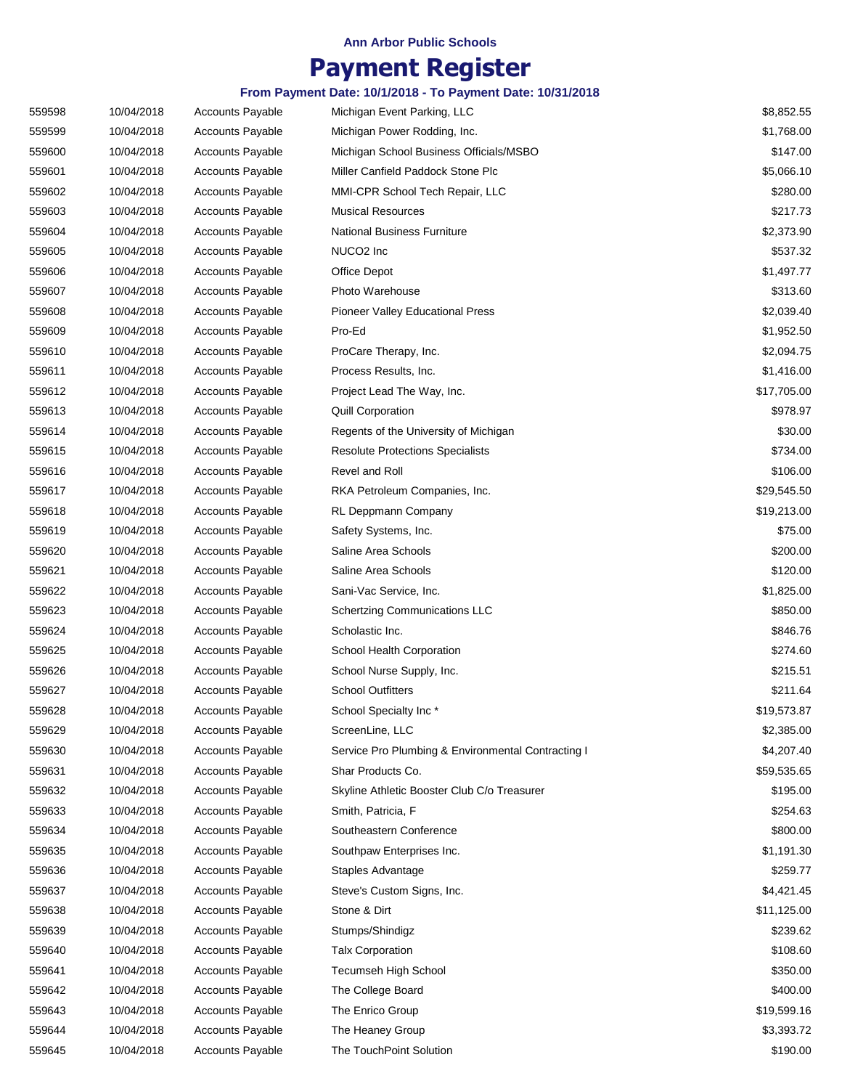## **Payment Register**

| 559598 | 10/04/2018 | <b>Accounts Payable</b> | Michigan Event Parking, LLC                        | \$8,852.55  |
|--------|------------|-------------------------|----------------------------------------------------|-------------|
| 559599 | 10/04/2018 | <b>Accounts Payable</b> | Michigan Power Rodding, Inc.                       | \$1,768.00  |
| 559600 | 10/04/2018 | <b>Accounts Payable</b> | Michigan School Business Officials/MSBO            | \$147.00    |
| 559601 | 10/04/2018 | <b>Accounts Payable</b> | Miller Canfield Paddock Stone Plc                  | \$5,066.10  |
| 559602 | 10/04/2018 | <b>Accounts Payable</b> | MMI-CPR School Tech Repair, LLC                    | \$280.00    |
| 559603 | 10/04/2018 | <b>Accounts Payable</b> | <b>Musical Resources</b>                           | \$217.73    |
| 559604 | 10/04/2018 | <b>Accounts Payable</b> | National Business Furniture                        | \$2,373.90  |
| 559605 | 10/04/2018 | <b>Accounts Payable</b> | NUCO <sub>2</sub> Inc                              | \$537.32    |
| 559606 | 10/04/2018 | <b>Accounts Payable</b> | Office Depot                                       | \$1,497.77  |
| 559607 | 10/04/2018 | <b>Accounts Payable</b> | Photo Warehouse                                    | \$313.60    |
| 559608 | 10/04/2018 | Accounts Payable        | <b>Pioneer Valley Educational Press</b>            | \$2,039.40  |
| 559609 | 10/04/2018 | Accounts Payable        | Pro-Ed                                             | \$1,952.50  |
| 559610 | 10/04/2018 | <b>Accounts Payable</b> | ProCare Therapy, Inc.                              | \$2,094.75  |
| 559611 | 10/04/2018 | <b>Accounts Payable</b> | Process Results, Inc.                              | \$1,416.00  |
| 559612 | 10/04/2018 | <b>Accounts Payable</b> | Project Lead The Way, Inc.                         | \$17,705.00 |
| 559613 | 10/04/2018 | <b>Accounts Payable</b> | <b>Quill Corporation</b>                           | \$978.97    |
| 559614 | 10/04/2018 | Accounts Payable        | Regents of the University of Michigan              | \$30.00     |
| 559615 | 10/04/2018 | <b>Accounts Payable</b> | <b>Resolute Protections Specialists</b>            | \$734.00    |
| 559616 | 10/04/2018 | <b>Accounts Payable</b> | Revel and Roll                                     | \$106.00    |
| 559617 | 10/04/2018 | <b>Accounts Payable</b> | RKA Petroleum Companies, Inc.                      | \$29,545.50 |
| 559618 | 10/04/2018 | <b>Accounts Payable</b> | RL Deppmann Company                                | \$19,213.00 |
| 559619 | 10/04/2018 | <b>Accounts Payable</b> | Safety Systems, Inc.                               | \$75.00     |
| 559620 | 10/04/2018 | <b>Accounts Payable</b> | Saline Area Schools                                | \$200.00    |
| 559621 | 10/04/2018 | <b>Accounts Payable</b> | Saline Area Schools                                | \$120.00    |
| 559622 | 10/04/2018 | <b>Accounts Payable</b> | Sani-Vac Service, Inc.                             | \$1,825.00  |
| 559623 | 10/04/2018 | <b>Accounts Payable</b> | <b>Schertzing Communications LLC</b>               | \$850.00    |
| 559624 | 10/04/2018 | <b>Accounts Payable</b> | Scholastic Inc.                                    | \$846.76    |
| 559625 | 10/04/2018 | <b>Accounts Payable</b> | School Health Corporation                          | \$274.60    |
| 559626 | 10/04/2018 | <b>Accounts Payable</b> | School Nurse Supply, Inc.                          | \$215.51    |
| 559627 | 10/04/2018 | <b>Accounts Payable</b> | <b>School Outfitters</b>                           | \$211.64    |
| 559628 | 10/04/2018 | <b>Accounts Payable</b> | School Specialty Inc*                              | \$19,573.87 |
| 559629 | 10/04/2018 | <b>Accounts Payable</b> | ScreenLine, LLC                                    | \$2,385.00  |
| 559630 | 10/04/2018 | <b>Accounts Payable</b> | Service Pro Plumbing & Environmental Contracting I | \$4,207.40  |
| 559631 | 10/04/2018 | Accounts Payable        | Shar Products Co.                                  | \$59,535.65 |
| 559632 | 10/04/2018 | <b>Accounts Payable</b> | Skyline Athletic Booster Club C/o Treasurer        | \$195.00    |
| 559633 | 10/04/2018 | <b>Accounts Payable</b> | Smith, Patricia, F                                 | \$254.63    |
| 559634 | 10/04/2018 | <b>Accounts Payable</b> | Southeastern Conference                            | \$800.00    |
| 559635 | 10/04/2018 | Accounts Payable        | Southpaw Enterprises Inc.                          | \$1,191.30  |
| 559636 | 10/04/2018 | <b>Accounts Payable</b> | Staples Advantage                                  | \$259.77    |
| 559637 | 10/04/2018 | <b>Accounts Payable</b> | Steve's Custom Signs, Inc.                         | \$4,421.45  |
| 559638 | 10/04/2018 | <b>Accounts Payable</b> | Stone & Dirt                                       | \$11,125.00 |
| 559639 | 10/04/2018 | <b>Accounts Payable</b> | Stumps/Shindigz                                    | \$239.62    |
| 559640 | 10/04/2018 | <b>Accounts Payable</b> | <b>Talx Corporation</b>                            | \$108.60    |
| 559641 | 10/04/2018 | <b>Accounts Payable</b> | Tecumseh High School                               | \$350.00    |
| 559642 | 10/04/2018 | <b>Accounts Payable</b> | The College Board                                  | \$400.00    |
| 559643 | 10/04/2018 | <b>Accounts Payable</b> | The Enrico Group                                   | \$19,599.16 |
| 559644 | 10/04/2018 | <b>Accounts Payable</b> | The Heaney Group                                   | \$3,393.72  |
| 559645 | 10/04/2018 | <b>Accounts Payable</b> | The TouchPoint Solution                            | \$190.00    |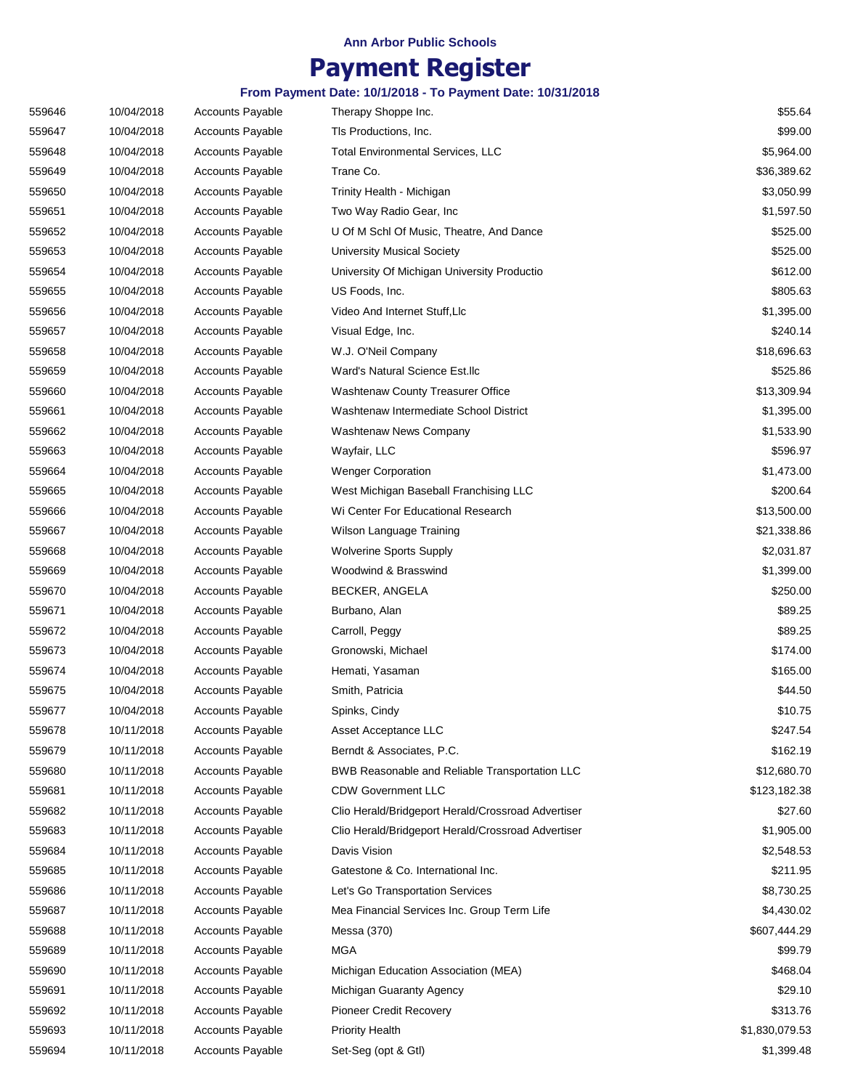# **Payment Register**

| 559646 | 10/04/2018 | <b>Accounts Payable</b> | Therapy Shoppe Inc.                                | \$55.64        |
|--------|------------|-------------------------|----------------------------------------------------|----------------|
| 559647 | 10/04/2018 | <b>Accounts Payable</b> | TIs Productions, Inc.                              | \$99.00        |
| 559648 | 10/04/2018 | <b>Accounts Payable</b> | <b>Total Environmental Services, LLC</b>           | \$5,964.00     |
| 559649 | 10/04/2018 | <b>Accounts Payable</b> | Trane Co.                                          | \$36,389.62    |
| 559650 | 10/04/2018 | <b>Accounts Payable</b> | Trinity Health - Michigan                          | \$3,050.99     |
| 559651 | 10/04/2018 | <b>Accounts Payable</b> | Two Way Radio Gear, Inc.                           | \$1,597.50     |
| 559652 | 10/04/2018 | <b>Accounts Payable</b> | U Of M Schl Of Music, Theatre, And Dance           | \$525.00       |
| 559653 | 10/04/2018 | <b>Accounts Payable</b> | <b>University Musical Society</b>                  | \$525.00       |
| 559654 | 10/04/2018 | <b>Accounts Payable</b> | University Of Michigan University Productio        | \$612.00       |
| 559655 | 10/04/2018 | <b>Accounts Payable</b> | US Foods, Inc.                                     | \$805.63       |
| 559656 | 10/04/2018 | <b>Accounts Payable</b> | Video And Internet Stuff, Llc                      | \$1,395.00     |
| 559657 | 10/04/2018 | <b>Accounts Payable</b> | Visual Edge, Inc.                                  | \$240.14       |
| 559658 | 10/04/2018 | <b>Accounts Payable</b> | W.J. O'Neil Company                                | \$18,696.63    |
| 559659 | 10/04/2018 | <b>Accounts Payable</b> | Ward's Natural Science Est.llc                     | \$525.86       |
| 559660 | 10/04/2018 | <b>Accounts Payable</b> | Washtenaw County Treasurer Office                  | \$13,309.94    |
| 559661 | 10/04/2018 | <b>Accounts Payable</b> | Washtenaw Intermediate School District             | \$1,395.00     |
| 559662 | 10/04/2018 | <b>Accounts Payable</b> | Washtenaw News Company                             | \$1,533.90     |
| 559663 | 10/04/2018 | <b>Accounts Payable</b> | Wayfair, LLC                                       | \$596.97       |
| 559664 | 10/04/2018 | <b>Accounts Payable</b> | <b>Wenger Corporation</b>                          | \$1,473.00     |
| 559665 | 10/04/2018 | <b>Accounts Payable</b> | West Michigan Baseball Franchising LLC             | \$200.64       |
| 559666 | 10/04/2018 | <b>Accounts Payable</b> | Wi Center For Educational Research                 | \$13,500.00    |
| 559667 | 10/04/2018 | <b>Accounts Payable</b> | Wilson Language Training                           | \$21,338.86    |
| 559668 | 10/04/2018 | <b>Accounts Payable</b> | <b>Wolverine Sports Supply</b>                     | \$2,031.87     |
| 559669 | 10/04/2018 | <b>Accounts Payable</b> | Woodwind & Brasswind                               | \$1,399.00     |
| 559670 | 10/04/2018 | <b>Accounts Payable</b> | BECKER, ANGELA                                     | \$250.00       |
| 559671 | 10/04/2018 | <b>Accounts Payable</b> | Burbano, Alan                                      | \$89.25        |
| 559672 | 10/04/2018 | <b>Accounts Payable</b> | Carroll, Peggy                                     | \$89.25        |
| 559673 | 10/04/2018 | <b>Accounts Payable</b> | Gronowski, Michael                                 | \$174.00       |
| 559674 | 10/04/2018 | <b>Accounts Payable</b> | Hemati, Yasaman                                    | \$165.00       |
| 559675 | 10/04/2018 | <b>Accounts Payable</b> | Smith, Patricia                                    | \$44.50        |
| 559677 | 10/04/2018 | <b>Accounts Payable</b> | Spinks, Cindy                                      | \$10.75        |
| 559678 | 10/11/2018 | Accounts Payable        | Asset Acceptance LLC                               | \$247.54       |
| 559679 | 10/11/2018 | <b>Accounts Payable</b> | Berndt & Associates, P.C.                          | \$162.19       |
| 559680 | 10/11/2018 | <b>Accounts Payable</b> | BWB Reasonable and Reliable Transportation LLC     | \$12,680.70    |
| 559681 | 10/11/2018 | <b>Accounts Payable</b> | <b>CDW Government LLC</b>                          | \$123,182.38   |
| 559682 | 10/11/2018 | <b>Accounts Payable</b> | Clio Herald/Bridgeport Herald/Crossroad Advertiser | \$27.60        |
| 559683 | 10/11/2018 | <b>Accounts Payable</b> | Clio Herald/Bridgeport Herald/Crossroad Advertiser | \$1,905.00     |
| 559684 | 10/11/2018 | <b>Accounts Payable</b> | Davis Vision                                       | \$2,548.53     |
| 559685 | 10/11/2018 | Accounts Payable        | Gatestone & Co. International Inc.                 | \$211.95       |
| 559686 | 10/11/2018 | <b>Accounts Payable</b> | Let's Go Transportation Services                   | \$8,730.25     |
| 559687 | 10/11/2018 | <b>Accounts Payable</b> | Mea Financial Services Inc. Group Term Life        | \$4,430.02     |
| 559688 | 10/11/2018 | Accounts Payable        | Messa (370)                                        | \$607,444.29   |
| 559689 | 10/11/2018 | <b>Accounts Payable</b> | <b>MGA</b>                                         | \$99.79        |
| 559690 | 10/11/2018 | Accounts Payable        | Michigan Education Association (MEA)               | \$468.04       |
| 559691 | 10/11/2018 | Accounts Payable        | Michigan Guaranty Agency                           | \$29.10        |
| 559692 | 10/11/2018 | <b>Accounts Payable</b> | <b>Pioneer Credit Recovery</b>                     | \$313.76       |
| 559693 | 10/11/2018 | <b>Accounts Payable</b> | <b>Priority Health</b>                             | \$1,830,079.53 |
| 559694 | 10/11/2018 | Accounts Payable        | Set-Seg (opt & Gtl)                                | \$1,399.48     |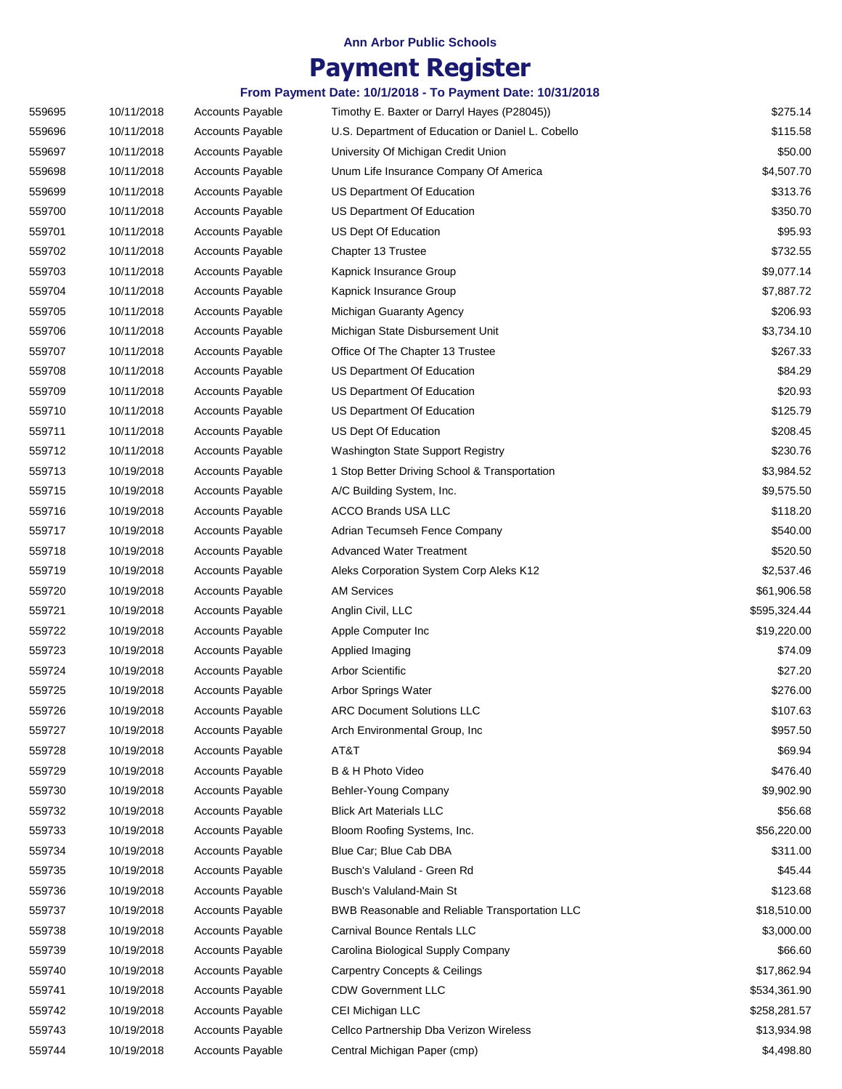## **Payment Register**

| 559695 | 10/11/2018 | <b>Accounts Payable</b> | Timothy E. Baxter or Darryl Hayes (P28045))       | \$275.14     |
|--------|------------|-------------------------|---------------------------------------------------|--------------|
| 559696 | 10/11/2018 | <b>Accounts Payable</b> | U.S. Department of Education or Daniel L. Cobello | \$115.58     |
| 559697 | 10/11/2018 | <b>Accounts Payable</b> | University Of Michigan Credit Union               | \$50.00      |
| 559698 | 10/11/2018 | Accounts Payable        | Unum Life Insurance Company Of America            | \$4,507.70   |
| 559699 | 10/11/2018 | <b>Accounts Payable</b> | US Department Of Education                        | \$313.76     |
| 559700 | 10/11/2018 | <b>Accounts Payable</b> | US Department Of Education                        | \$350.70     |
| 559701 | 10/11/2018 | <b>Accounts Payable</b> | US Dept Of Education                              | \$95.93      |
| 559702 | 10/11/2018 | <b>Accounts Payable</b> | Chapter 13 Trustee                                | \$732.55     |
| 559703 | 10/11/2018 | <b>Accounts Payable</b> | Kapnick Insurance Group                           | \$9,077.14   |
| 559704 | 10/11/2018 | <b>Accounts Payable</b> | Kapnick Insurance Group                           | \$7,887.72   |
| 559705 | 10/11/2018 | <b>Accounts Payable</b> | Michigan Guaranty Agency                          | \$206.93     |
| 559706 | 10/11/2018 | <b>Accounts Payable</b> | Michigan State Disbursement Unit                  | \$3,734.10   |
| 559707 | 10/11/2018 | <b>Accounts Payable</b> | Office Of The Chapter 13 Trustee                  | \$267.33     |
| 559708 | 10/11/2018 | <b>Accounts Payable</b> | US Department Of Education                        | \$84.29      |
| 559709 | 10/11/2018 | <b>Accounts Payable</b> | US Department Of Education                        | \$20.93      |
| 559710 | 10/11/2018 | <b>Accounts Payable</b> | US Department Of Education                        | \$125.79     |
| 559711 | 10/11/2018 | <b>Accounts Payable</b> | US Dept Of Education                              | \$208.45     |
| 559712 | 10/11/2018 | <b>Accounts Payable</b> | Washington State Support Registry                 | \$230.76     |
| 559713 | 10/19/2018 | <b>Accounts Payable</b> | 1 Stop Better Driving School & Transportation     | \$3,984.52   |
| 559715 | 10/19/2018 | <b>Accounts Payable</b> | A/C Building System, Inc.                         | \$9,575.50   |
| 559716 | 10/19/2018 | <b>Accounts Payable</b> | <b>ACCO Brands USA LLC</b>                        | \$118.20     |
| 559717 | 10/19/2018 | <b>Accounts Payable</b> | Adrian Tecumseh Fence Company                     | \$540.00     |
| 559718 | 10/19/2018 | <b>Accounts Payable</b> | <b>Advanced Water Treatment</b>                   | \$520.50     |
| 559719 | 10/19/2018 | <b>Accounts Payable</b> | Aleks Corporation System Corp Aleks K12           | \$2,537.46   |
| 559720 | 10/19/2018 | <b>Accounts Payable</b> | <b>AM Services</b>                                | \$61,906.58  |
| 559721 | 10/19/2018 | <b>Accounts Payable</b> | Anglin Civil, LLC                                 | \$595,324.44 |
| 559722 | 10/19/2018 | <b>Accounts Payable</b> | Apple Computer Inc                                | \$19,220.00  |
| 559723 | 10/19/2018 | <b>Accounts Payable</b> | Applied Imaging                                   | \$74.09      |
| 559724 | 10/19/2018 | <b>Accounts Payable</b> | Arbor Scientific                                  | \$27.20      |
| 559725 | 10/19/2018 | <b>Accounts Payable</b> | Arbor Springs Water                               | \$276.00     |
| 559726 | 10/19/2018 | <b>Accounts Payable</b> | <b>ARC Document Solutions LLC</b>                 | \$107.63     |
| 559727 | 10/19/2018 | Accounts Payable        | Arch Environmental Group, Inc.                    | \$957.50     |
| 559728 | 10/19/2018 | <b>Accounts Payable</b> | AT&T                                              | \$69.94      |
| 559729 | 10/19/2018 | <b>Accounts Payable</b> | B & H Photo Video                                 | \$476.40     |
| 559730 | 10/19/2018 | <b>Accounts Payable</b> | Behler-Young Company                              | \$9,902.90   |
| 559732 | 10/19/2018 | <b>Accounts Payable</b> | <b>Blick Art Materials LLC</b>                    | \$56.68      |
| 559733 | 10/19/2018 | <b>Accounts Payable</b> | Bloom Roofing Systems, Inc.                       | \$56,220.00  |
| 559734 | 10/19/2018 | <b>Accounts Payable</b> | Blue Car; Blue Cab DBA                            | \$311.00     |
| 559735 | 10/19/2018 | <b>Accounts Payable</b> | Busch's Valuland - Green Rd                       | \$45.44      |
| 559736 | 10/19/2018 | <b>Accounts Payable</b> | Busch's Valuland-Main St                          | \$123.68     |
| 559737 | 10/19/2018 | <b>Accounts Payable</b> | BWB Reasonable and Reliable Transportation LLC    | \$18,510.00  |
| 559738 | 10/19/2018 | <b>Accounts Payable</b> | Carnival Bounce Rentals LLC                       | \$3,000.00   |
| 559739 | 10/19/2018 | <b>Accounts Payable</b> | Carolina Biological Supply Company                | \$66.60      |
| 559740 | 10/19/2018 | Accounts Payable        | <b>Carpentry Concepts &amp; Ceilings</b>          | \$17,862.94  |
| 559741 | 10/19/2018 | <b>Accounts Payable</b> | <b>CDW Government LLC</b>                         | \$534,361.90 |
| 559742 | 10/19/2018 | <b>Accounts Payable</b> | CEI Michigan LLC                                  | \$258,281.57 |
| 559743 | 10/19/2018 | <b>Accounts Payable</b> | Cellco Partnership Dba Verizon Wireless           | \$13,934.98  |
| 559744 | 10/19/2018 | <b>Accounts Payable</b> | Central Michigan Paper (cmp)                      | \$4,498.80   |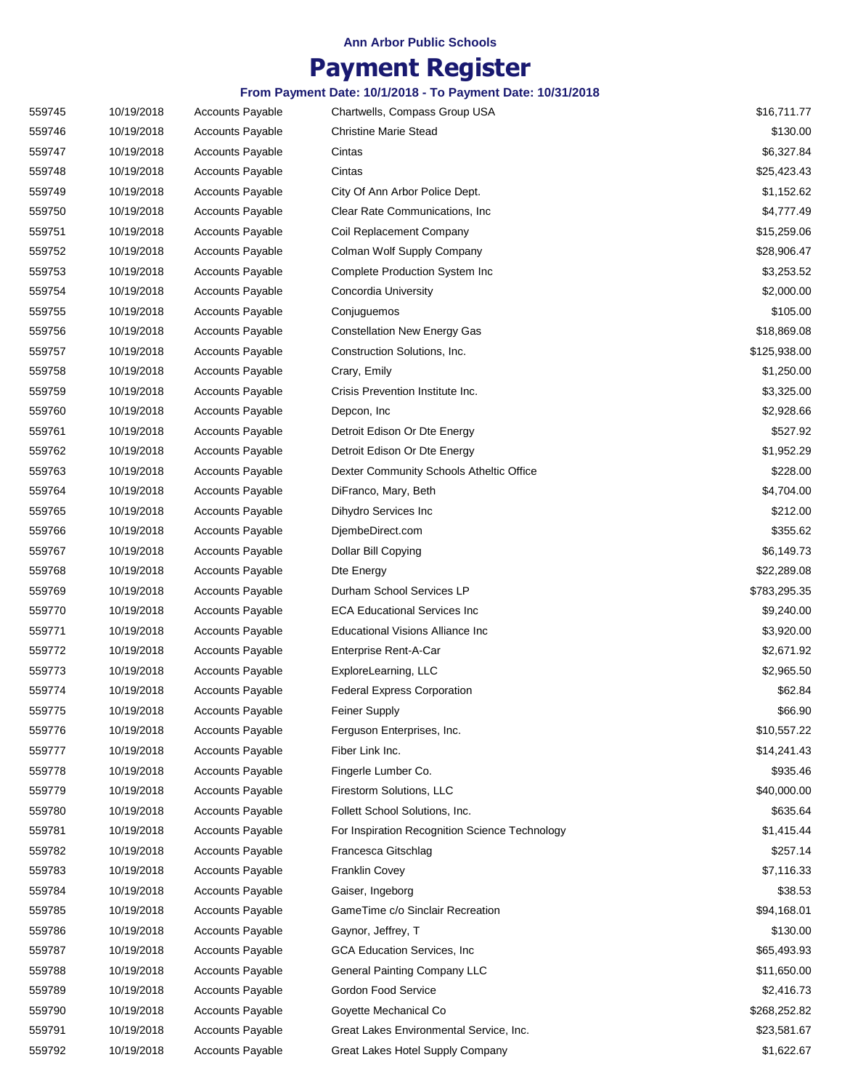## **Payment Register**

| 559745 | 10/19/2018 | <b>Accounts Payable</b> | Chartwells, Compass Group USA                  | \$16,711.77  |
|--------|------------|-------------------------|------------------------------------------------|--------------|
| 559746 | 10/19/2018 | <b>Accounts Payable</b> | <b>Christine Marie Stead</b>                   | \$130.00     |
| 559747 | 10/19/2018 | <b>Accounts Payable</b> | Cintas                                         | \$6,327.84   |
| 559748 | 10/19/2018 | Accounts Payable        | Cintas                                         | \$25,423.43  |
| 559749 | 10/19/2018 | <b>Accounts Payable</b> | City Of Ann Arbor Police Dept.                 | \$1,152.62   |
| 559750 | 10/19/2018 | <b>Accounts Payable</b> | Clear Rate Communications, Inc.                | \$4,777.49   |
| 559751 | 10/19/2018 | <b>Accounts Payable</b> | Coil Replacement Company                       | \$15,259.06  |
| 559752 | 10/19/2018 | <b>Accounts Payable</b> | Colman Wolf Supply Company                     | \$28,906.47  |
| 559753 | 10/19/2018 | <b>Accounts Payable</b> | Complete Production System Inc                 | \$3,253.52   |
| 559754 | 10/19/2018 | <b>Accounts Payable</b> | Concordia University                           | \$2,000.00   |
| 559755 | 10/19/2018 | <b>Accounts Payable</b> | Conjuguemos                                    | \$105.00     |
| 559756 | 10/19/2018 | <b>Accounts Payable</b> | <b>Constellation New Energy Gas</b>            | \$18,869.08  |
| 559757 | 10/19/2018 | <b>Accounts Payable</b> | Construction Solutions, Inc.                   | \$125,938.00 |
| 559758 | 10/19/2018 | <b>Accounts Payable</b> | Crary, Emily                                   | \$1,250.00   |
| 559759 | 10/19/2018 | <b>Accounts Payable</b> | Crisis Prevention Institute Inc.               | \$3,325.00   |
| 559760 | 10/19/2018 | Accounts Payable        | Depcon, Inc.                                   | \$2,928.66   |
| 559761 | 10/19/2018 | <b>Accounts Payable</b> | Detroit Edison Or Dte Energy                   | \$527.92     |
| 559762 | 10/19/2018 | <b>Accounts Payable</b> | Detroit Edison Or Dte Energy                   | \$1,952.29   |
| 559763 | 10/19/2018 | <b>Accounts Payable</b> | Dexter Community Schools Atheltic Office       | \$228.00     |
| 559764 | 10/19/2018 | Accounts Payable        | DiFranco, Mary, Beth                           | \$4,704.00   |
| 559765 | 10/19/2018 | <b>Accounts Payable</b> | Dihydro Services Inc                           | \$212.00     |
| 559766 | 10/19/2018 | <b>Accounts Payable</b> | DjembeDirect.com                               | \$355.62     |
| 559767 | 10/19/2018 | <b>Accounts Payable</b> | Dollar Bill Copying                            | \$6,149.73   |
| 559768 | 10/19/2018 | <b>Accounts Payable</b> | Dte Energy                                     | \$22,289.08  |
| 559769 | 10/19/2018 | <b>Accounts Payable</b> | Durham School Services LP                      | \$783,295.35 |
| 559770 | 10/19/2018 | <b>Accounts Payable</b> | <b>ECA Educational Services Inc</b>            | \$9,240.00   |
| 559771 | 10/19/2018 | <b>Accounts Payable</b> | Educational Visions Alliance Inc               | \$3,920.00   |
| 559772 | 10/19/2018 | Accounts Payable        | Enterprise Rent-A-Car                          | \$2,671.92   |
| 559773 | 10/19/2018 | <b>Accounts Payable</b> | ExploreLearning, LLC                           | \$2,965.50   |
| 559774 | 10/19/2018 | <b>Accounts Payable</b> | <b>Federal Express Corporation</b>             | \$62.84      |
| 559775 | 10/19/2018 | <b>Accounts Payable</b> | Feiner Supply                                  | \$66.90      |
| 559776 | 10/19/2018 | <b>Accounts Payable</b> | Ferguson Enterprises, Inc.                     | \$10,557.22  |
| 559777 | 10/19/2018 | <b>Accounts Payable</b> | Fiber Link Inc.                                | \$14,241.43  |
| 559778 | 10/19/2018 | <b>Accounts Payable</b> | Fingerle Lumber Co.                            | \$935.46     |
| 559779 | 10/19/2018 | <b>Accounts Payable</b> | Firestorm Solutions, LLC                       | \$40,000.00  |
| 559780 | 10/19/2018 | <b>Accounts Payable</b> | Follett School Solutions, Inc.                 | \$635.64     |
| 559781 | 10/19/2018 | <b>Accounts Payable</b> | For Inspiration Recognition Science Technology | \$1,415.44   |
| 559782 | 10/19/2018 | <b>Accounts Payable</b> | Francesca Gitschlag                            | \$257.14     |
| 559783 | 10/19/2018 | Accounts Payable        | Franklin Covey                                 | \$7,116.33   |
| 559784 | 10/19/2018 | <b>Accounts Payable</b> | Gaiser, Ingeborg                               | \$38.53      |
| 559785 | 10/19/2018 | <b>Accounts Payable</b> | GameTime c/o Sinclair Recreation               | \$94,168.01  |
| 559786 | 10/19/2018 | Accounts Payable        | Gaynor, Jeffrey, T                             | \$130.00     |
| 559787 | 10/19/2018 | <b>Accounts Payable</b> | GCA Education Services, Inc.                   | \$65,493.93  |
| 559788 | 10/19/2018 | Accounts Payable        | <b>General Painting Company LLC</b>            | \$11,650.00  |
| 559789 | 10/19/2018 | Accounts Payable        | Gordon Food Service                            | \$2,416.73   |
| 559790 | 10/19/2018 | <b>Accounts Payable</b> | Goyette Mechanical Co                          | \$268,252.82 |
| 559791 | 10/19/2018 | <b>Accounts Payable</b> | Great Lakes Environmental Service, Inc.        | \$23,581.67  |
| 559792 | 10/19/2018 | <b>Accounts Payable</b> | Great Lakes Hotel Supply Company               | \$1,622.67   |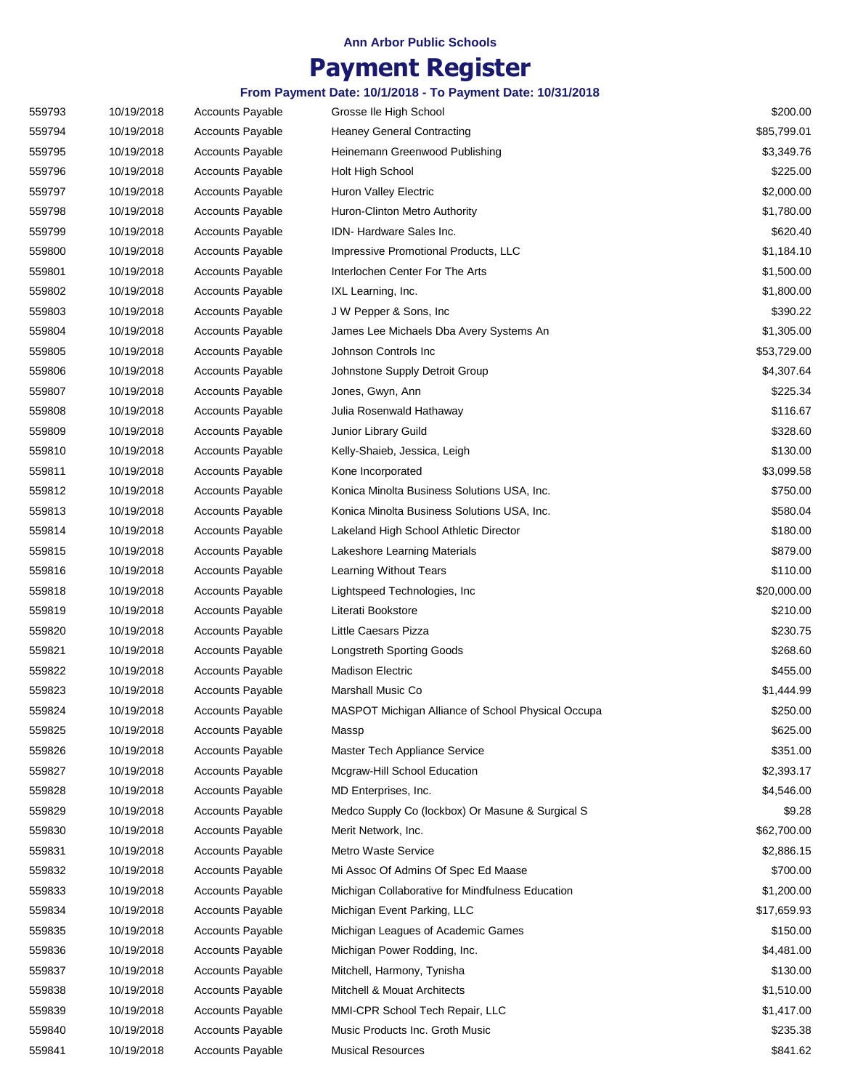## **Payment Register**

| 559793 | 10/19/2018 | <b>Accounts Payable</b> | Grosse Ile High School                             | \$200.00    |
|--------|------------|-------------------------|----------------------------------------------------|-------------|
| 559794 | 10/19/2018 | <b>Accounts Payable</b> | <b>Heaney General Contracting</b>                  | \$85,799.01 |
| 559795 | 10/19/2018 | <b>Accounts Payable</b> | Heinemann Greenwood Publishing                     | \$3,349.76  |
| 559796 | 10/19/2018 | <b>Accounts Payable</b> | Holt High School                                   | \$225.00    |
| 559797 | 10/19/2018 | <b>Accounts Payable</b> | Huron Valley Electric                              | \$2,000.00  |
| 559798 | 10/19/2018 | <b>Accounts Payable</b> | Huron-Clinton Metro Authority                      | \$1,780.00  |
| 559799 | 10/19/2018 | <b>Accounts Payable</b> | IDN-Hardware Sales Inc.                            | \$620.40    |
| 559800 | 10/19/2018 | <b>Accounts Payable</b> | Impressive Promotional Products, LLC               | \$1,184.10  |
| 559801 | 10/19/2018 | <b>Accounts Payable</b> | Interlochen Center For The Arts                    | \$1,500.00  |
| 559802 | 10/19/2018 | <b>Accounts Payable</b> | IXL Learning, Inc.                                 | \$1,800.00  |
| 559803 | 10/19/2018 | <b>Accounts Payable</b> | J W Pepper & Sons, Inc.                            | \$390.22    |
| 559804 | 10/19/2018 | <b>Accounts Payable</b> | James Lee Michaels Dba Avery Systems An            | \$1,305.00  |
| 559805 | 10/19/2018 | <b>Accounts Payable</b> | Johnson Controls Inc                               | \$53,729.00 |
| 559806 | 10/19/2018 | <b>Accounts Payable</b> | Johnstone Supply Detroit Group                     | \$4,307.64  |
| 559807 | 10/19/2018 | <b>Accounts Payable</b> | Jones, Gwyn, Ann                                   | \$225.34    |
| 559808 | 10/19/2018 | <b>Accounts Payable</b> | Julia Rosenwald Hathaway                           | \$116.67    |
| 559809 | 10/19/2018 | <b>Accounts Payable</b> | Junior Library Guild                               | \$328.60    |
| 559810 | 10/19/2018 | <b>Accounts Payable</b> | Kelly-Shaieb, Jessica, Leigh                       | \$130.00    |
| 559811 | 10/19/2018 | <b>Accounts Payable</b> | Kone Incorporated                                  | \$3,099.58  |
| 559812 | 10/19/2018 | <b>Accounts Payable</b> | Konica Minolta Business Solutions USA, Inc.        | \$750.00    |
| 559813 | 10/19/2018 | <b>Accounts Payable</b> | Konica Minolta Business Solutions USA, Inc.        | \$580.04    |
| 559814 | 10/19/2018 | <b>Accounts Payable</b> | Lakeland High School Athletic Director             | \$180.00    |
| 559815 | 10/19/2018 | <b>Accounts Payable</b> | Lakeshore Learning Materials                       | \$879.00    |
| 559816 | 10/19/2018 | <b>Accounts Payable</b> | Learning Without Tears                             | \$110.00    |
| 559818 | 10/19/2018 | <b>Accounts Payable</b> | Lightspeed Technologies, Inc.                      | \$20,000.00 |
| 559819 | 10/19/2018 | <b>Accounts Payable</b> | Literati Bookstore                                 | \$210.00    |
| 559820 | 10/19/2018 | <b>Accounts Payable</b> | Little Caesars Pizza                               | \$230.75    |
| 559821 | 10/19/2018 | <b>Accounts Payable</b> | <b>Longstreth Sporting Goods</b>                   | \$268.60    |
| 559822 | 10/19/2018 | <b>Accounts Payable</b> | Madison Electric                                   | \$455.00    |
| 559823 | 10/19/2018 | <b>Accounts Payable</b> | Marshall Music Co                                  | \$1,444.99  |
| 559824 | 10/19/2018 | Accounts Payable        | MASPOT Michigan Alliance of School Physical Occupa | \$250.00    |
| 559825 | 10/19/2018 | Accounts Payable        | Massp                                              | \$625.00    |
| 559826 | 10/19/2018 | <b>Accounts Payable</b> | Master Tech Appliance Service                      | \$351.00    |
| 559827 | 10/19/2018 | <b>Accounts Payable</b> | Mcgraw-Hill School Education                       | \$2,393.17  |
| 559828 | 10/19/2018 | <b>Accounts Payable</b> | MD Enterprises, Inc.                               | \$4,546.00  |
| 559829 | 10/19/2018 | <b>Accounts Payable</b> | Medco Supply Co (lockbox) Or Masune & Surgical S   | \$9.28      |
| 559830 | 10/19/2018 | <b>Accounts Payable</b> | Merit Network, Inc.                                | \$62,700.00 |
| 559831 | 10/19/2018 | <b>Accounts Payable</b> | Metro Waste Service                                | \$2,886.15  |
| 559832 | 10/19/2018 | <b>Accounts Payable</b> | Mi Assoc Of Admins Of Spec Ed Maase                | \$700.00    |
| 559833 | 10/19/2018 | <b>Accounts Payable</b> | Michigan Collaborative for Mindfulness Education   | \$1,200.00  |
| 559834 | 10/19/2018 | <b>Accounts Payable</b> | Michigan Event Parking, LLC                        | \$17,659.93 |
| 559835 | 10/19/2018 | <b>Accounts Payable</b> | Michigan Leagues of Academic Games                 | \$150.00    |
| 559836 | 10/19/2018 | <b>Accounts Payable</b> | Michigan Power Rodding, Inc.                       | \$4,481.00  |
| 559837 | 10/19/2018 | Accounts Payable        | Mitchell, Harmony, Tynisha                         | \$130.00    |
| 559838 | 10/19/2018 | <b>Accounts Payable</b> | Mitchell & Mouat Architects                        | \$1,510.00  |
| 559839 | 10/19/2018 | <b>Accounts Payable</b> | MMI-CPR School Tech Repair, LLC                    | \$1,417.00  |
| 559840 | 10/19/2018 | <b>Accounts Payable</b> | Music Products Inc. Groth Music                    | \$235.38    |
| 559841 | 10/19/2018 | <b>Accounts Payable</b> | <b>Musical Resources</b>                           | \$841.62    |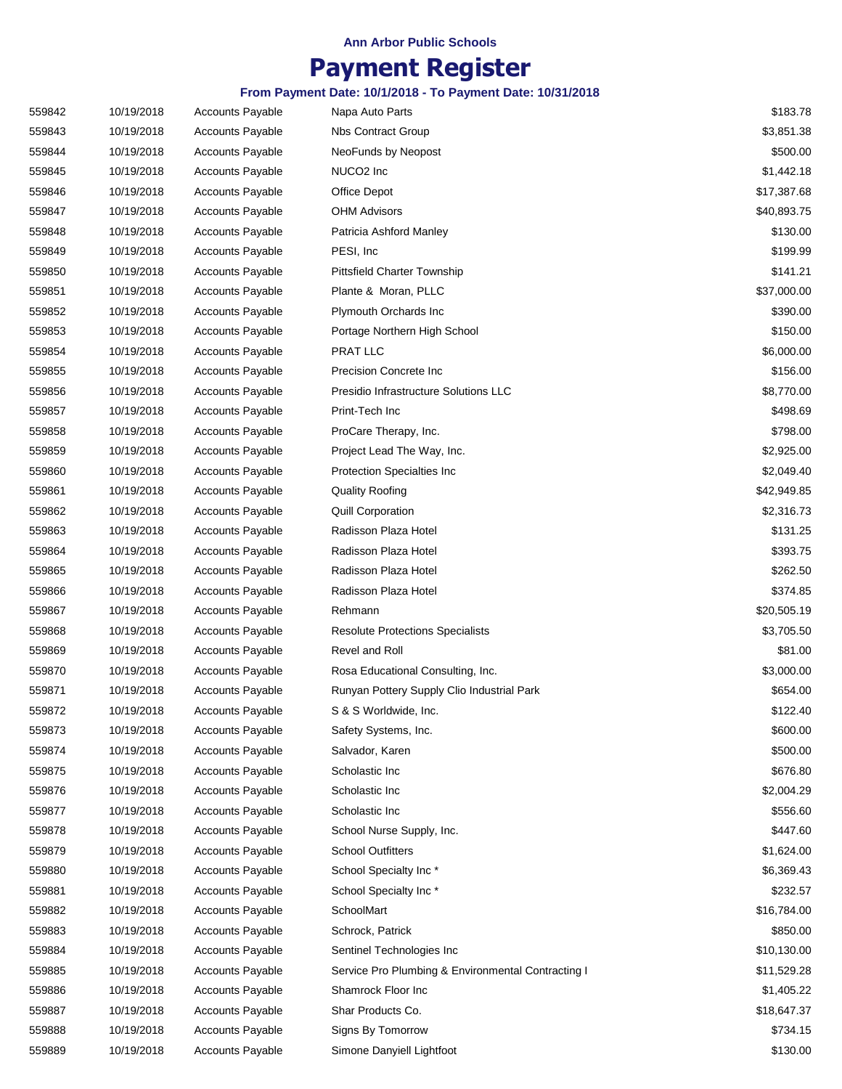## **Payment Register**

| 559842 | 10/19/2018 | <b>Accounts Payable</b> | Napa Auto Parts                                    | \$183.78    |
|--------|------------|-------------------------|----------------------------------------------------|-------------|
| 559843 | 10/19/2018 | <b>Accounts Payable</b> | <b>Nbs Contract Group</b>                          | \$3,851.38  |
| 559844 | 10/19/2018 | <b>Accounts Payable</b> | NeoFunds by Neopost                                | \$500.00    |
| 559845 | 10/19/2018 | <b>Accounts Payable</b> | NUCO <sub>2</sub> Inc                              | \$1,442.18  |
| 559846 | 10/19/2018 | <b>Accounts Payable</b> | Office Depot                                       | \$17,387.68 |
| 559847 | 10/19/2018 | <b>Accounts Payable</b> | <b>OHM Advisors</b>                                | \$40,893.75 |
| 559848 | 10/19/2018 | <b>Accounts Payable</b> | Patricia Ashford Manley                            | \$130.00    |
| 559849 | 10/19/2018 | <b>Accounts Payable</b> | PESI, Inc.                                         | \$199.99    |
| 559850 | 10/19/2018 | <b>Accounts Payable</b> | Pittsfield Charter Township                        | \$141.21    |
| 559851 | 10/19/2018 | <b>Accounts Payable</b> | Plante & Moran, PLLC                               | \$37,000.00 |
| 559852 | 10/19/2018 | <b>Accounts Payable</b> | Plymouth Orchards Inc                              | \$390.00    |
| 559853 | 10/19/2018 | <b>Accounts Payable</b> | Portage Northern High School                       | \$150.00    |
| 559854 | 10/19/2018 | <b>Accounts Payable</b> | PRAT LLC                                           | \$6,000.00  |
| 559855 | 10/19/2018 | <b>Accounts Payable</b> | Precision Concrete Inc                             | \$156.00    |
| 559856 | 10/19/2018 | Accounts Payable        | Presidio Infrastructure Solutions LLC              | \$8,770.00  |
| 559857 | 10/19/2018 | <b>Accounts Payable</b> | Print-Tech Inc                                     | \$498.69    |
| 559858 | 10/19/2018 | <b>Accounts Payable</b> | ProCare Therapy, Inc.                              | \$798.00    |
| 559859 | 10/19/2018 | <b>Accounts Payable</b> | Project Lead The Way, Inc.                         | \$2,925.00  |
| 559860 | 10/19/2018 | <b>Accounts Payable</b> | <b>Protection Specialties Inc</b>                  | \$2,049.40  |
| 559861 | 10/19/2018 | <b>Accounts Payable</b> | <b>Quality Roofing</b>                             | \$42,949.85 |
| 559862 | 10/19/2018 | <b>Accounts Payable</b> | <b>Quill Corporation</b>                           | \$2,316.73  |
| 559863 | 10/19/2018 | Accounts Payable        | Radisson Plaza Hotel                               | \$131.25    |
| 559864 | 10/19/2018 | <b>Accounts Payable</b> | Radisson Plaza Hotel                               | \$393.75    |
| 559865 | 10/19/2018 | <b>Accounts Payable</b> | Radisson Plaza Hotel                               | \$262.50    |
| 559866 | 10/19/2018 | <b>Accounts Payable</b> | Radisson Plaza Hotel                               | \$374.85    |
| 559867 | 10/19/2018 | <b>Accounts Payable</b> | Rehmann                                            | \$20,505.19 |
| 559868 | 10/19/2018 | <b>Accounts Payable</b> | <b>Resolute Protections Specialists</b>            | \$3,705.50  |
| 559869 | 10/19/2018 | <b>Accounts Payable</b> | Revel and Roll                                     | \$81.00     |
| 559870 | 10/19/2018 | <b>Accounts Payable</b> | Rosa Educational Consulting, Inc.                  | \$3,000.00  |
| 559871 | 10/19/2018 | <b>Accounts Payable</b> | Runyan Pottery Supply Clio Industrial Park         | \$654.00    |
| 559872 | 10/19/2018 | <b>Accounts Payable</b> | S & S Worldwide, Inc.                              | \$122.40    |
| 559873 | 10/19/2018 | Accounts Payable        | Safety Systems, Inc.                               | \$600.00    |
| 559874 | 10/19/2018 | <b>Accounts Payable</b> | Salvador, Karen                                    | \$500.00    |
| 559875 | 10/19/2018 | <b>Accounts Payable</b> | Scholastic Inc                                     | \$676.80    |
| 559876 | 10/19/2018 | <b>Accounts Payable</b> | Scholastic Inc                                     | \$2,004.29  |
| 559877 | 10/19/2018 | <b>Accounts Payable</b> | Scholastic Inc                                     | \$556.60    |
| 559878 | 10/19/2018 | <b>Accounts Payable</b> | School Nurse Supply, Inc.                          | \$447.60    |
| 559879 | 10/19/2018 | <b>Accounts Payable</b> | <b>School Outfitters</b>                           | \$1,624.00  |
| 559880 | 10/19/2018 | <b>Accounts Payable</b> | School Specialty Inc*                              | \$6,369.43  |
| 559881 | 10/19/2018 | <b>Accounts Payable</b> | School Specialty Inc*                              | \$232.57    |
| 559882 | 10/19/2018 | <b>Accounts Payable</b> | SchoolMart                                         | \$16,784.00 |
| 559883 | 10/19/2018 | <b>Accounts Payable</b> | Schrock, Patrick                                   | \$850.00    |
| 559884 | 10/19/2018 | <b>Accounts Payable</b> | Sentinel Technologies Inc                          | \$10,130.00 |
| 559885 | 10/19/2018 | <b>Accounts Payable</b> | Service Pro Plumbing & Environmental Contracting I | \$11,529.28 |
| 559886 | 10/19/2018 | <b>Accounts Payable</b> | Shamrock Floor Inc                                 | \$1,405.22  |
| 559887 | 10/19/2018 | <b>Accounts Payable</b> | Shar Products Co.                                  | \$18,647.37 |
| 559888 | 10/19/2018 | <b>Accounts Payable</b> | Signs By Tomorrow                                  | \$734.15    |
| 559889 | 10/19/2018 | Accounts Payable        | Simone Danyiell Lightfoot                          | \$130.00    |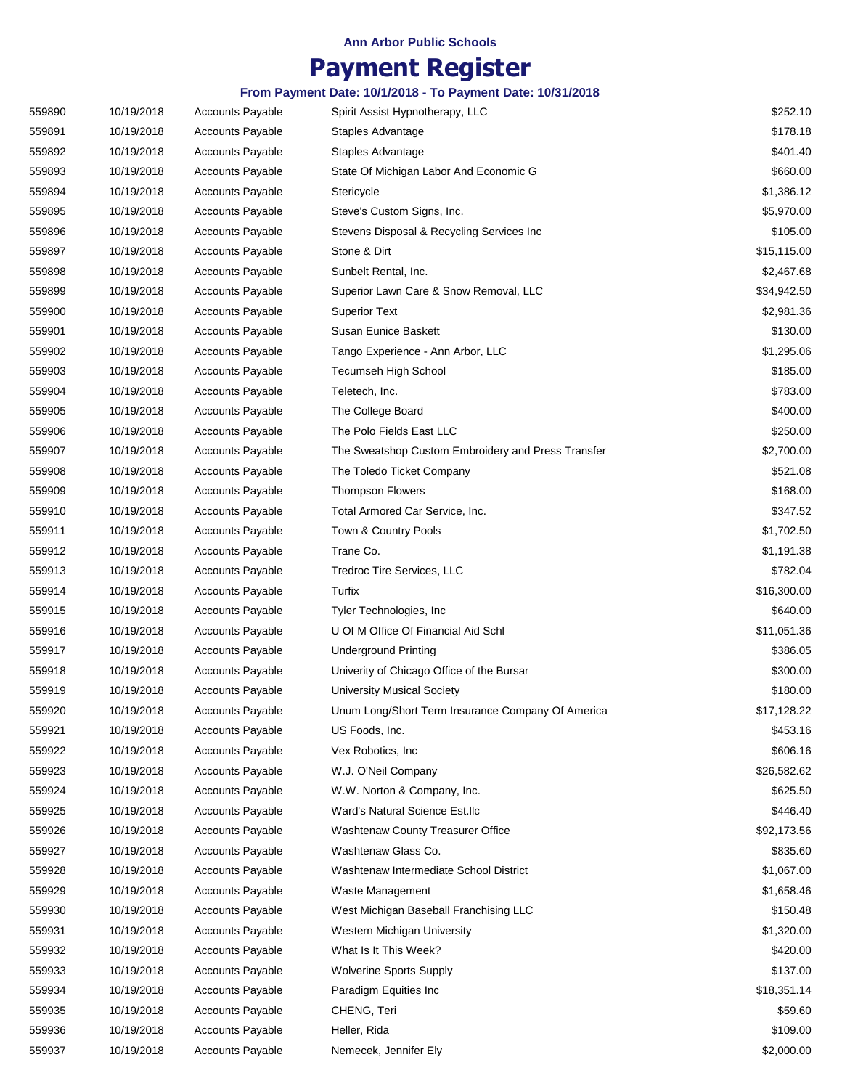# **Payment Register**

| 559890 | 10/19/2018 | <b>Accounts Payable</b> | Spirit Assist Hypnotherapy, LLC                    | \$252.10    |
|--------|------------|-------------------------|----------------------------------------------------|-------------|
| 559891 | 10/19/2018 | <b>Accounts Payable</b> | Staples Advantage                                  | \$178.18    |
| 559892 | 10/19/2018 | <b>Accounts Payable</b> | Staples Advantage                                  | \$401.40    |
| 559893 | 10/19/2018 | <b>Accounts Payable</b> | State Of Michigan Labor And Economic G             | \$660.00    |
| 559894 | 10/19/2018 | <b>Accounts Payable</b> | Stericycle                                         | \$1,386.12  |
| 559895 | 10/19/2018 | <b>Accounts Payable</b> | Steve's Custom Signs, Inc.                         | \$5,970.00  |
|        |            |                         |                                                    | \$105.00    |
| 559896 | 10/19/2018 | <b>Accounts Payable</b> | Stevens Disposal & Recycling Services Inc          |             |
| 559897 | 10/19/2018 | <b>Accounts Payable</b> | Stone & Dirt                                       | \$15,115.00 |
| 559898 | 10/19/2018 | <b>Accounts Payable</b> | Sunbelt Rental, Inc.                               | \$2,467.68  |
| 559899 | 10/19/2018 | <b>Accounts Payable</b> | Superior Lawn Care & Snow Removal, LLC             | \$34,942.50 |
| 559900 | 10/19/2018 | <b>Accounts Payable</b> | <b>Superior Text</b>                               | \$2,981.36  |
| 559901 | 10/19/2018 | <b>Accounts Payable</b> | Susan Eunice Baskett                               | \$130.00    |
| 559902 | 10/19/2018 | <b>Accounts Payable</b> | Tango Experience - Ann Arbor, LLC                  | \$1,295.06  |
| 559903 | 10/19/2018 | <b>Accounts Payable</b> | <b>Tecumseh High School</b>                        | \$185.00    |
| 559904 | 10/19/2018 | <b>Accounts Payable</b> | Teletech, Inc.                                     | \$783.00    |
| 559905 | 10/19/2018 | <b>Accounts Payable</b> | The College Board                                  | \$400.00    |
| 559906 | 10/19/2018 | <b>Accounts Payable</b> | The Polo Fields East LLC                           | \$250.00    |
| 559907 | 10/19/2018 | <b>Accounts Payable</b> | The Sweatshop Custom Embroidery and Press Transfer | \$2,700.00  |
| 559908 | 10/19/2018 | <b>Accounts Payable</b> | The Toledo Ticket Company                          | \$521.08    |
| 559909 | 10/19/2018 | <b>Accounts Payable</b> | <b>Thompson Flowers</b>                            | \$168.00    |
| 559910 | 10/19/2018 | <b>Accounts Payable</b> | Total Armored Car Service, Inc.                    | \$347.52    |
| 559911 | 10/19/2018 | <b>Accounts Payable</b> | Town & Country Pools                               | \$1,702.50  |
| 559912 | 10/19/2018 | <b>Accounts Payable</b> | Trane Co.                                          | \$1,191.38  |
| 559913 | 10/19/2018 | <b>Accounts Payable</b> | Tredroc Tire Services, LLC                         | \$782.04    |
| 559914 | 10/19/2018 | <b>Accounts Payable</b> | Turfix                                             | \$16,300.00 |
| 559915 | 10/19/2018 | <b>Accounts Payable</b> | Tyler Technologies, Inc.                           | \$640.00    |
| 559916 | 10/19/2018 | <b>Accounts Payable</b> | U Of M Office Of Financial Aid Schl                | \$11,051.36 |
| 559917 | 10/19/2018 | <b>Accounts Payable</b> | <b>Underground Printing</b>                        | \$386.05    |
| 559918 | 10/19/2018 | <b>Accounts Payable</b> | Univerity of Chicago Office of the Bursar          | \$300.00    |
| 559919 | 10/19/2018 | <b>Accounts Payable</b> | <b>University Musical Society</b>                  | \$180.00    |
|        |            |                         | Unum Long/Short Term Insurance Company Of America  |             |
| 559920 | 10/19/2018 | <b>Accounts Payable</b> |                                                    | \$17,128.22 |
| 559921 | 10/19/2018 | <b>Accounts Payable</b> | US Foods, Inc.                                     | \$453.16    |
| 559922 | 10/19/2018 | <b>Accounts Payable</b> | Vex Robotics, Inc.                                 | \$606.16    |
| 559923 | 10/19/2018 | <b>Accounts Payable</b> | W.J. O'Neil Company                                | \$26,582.62 |
| 559924 | 10/19/2018 | <b>Accounts Payable</b> | W.W. Norton & Company, Inc.                        | \$625.50    |
| 559925 | 10/19/2018 | <b>Accounts Payable</b> | Ward's Natural Science Est.llc                     | \$446.40    |
| 559926 | 10/19/2018 | <b>Accounts Payable</b> | Washtenaw County Treasurer Office                  | \$92,173.56 |
| 559927 | 10/19/2018 | <b>Accounts Payable</b> | Washtenaw Glass Co.                                | \$835.60    |
| 559928 | 10/19/2018 | Accounts Payable        | Washtenaw Intermediate School District             | \$1,067.00  |
| 559929 | 10/19/2018 | <b>Accounts Payable</b> | Waste Management                                   | \$1,658.46  |
| 559930 | 10/19/2018 | <b>Accounts Payable</b> | West Michigan Baseball Franchising LLC             | \$150.48    |
| 559931 | 10/19/2018 | Accounts Payable        | Western Michigan University                        | \$1,320.00  |
| 559932 | 10/19/2018 | <b>Accounts Payable</b> | What Is It This Week?                              | \$420.00    |
| 559933 | 10/19/2018 | Accounts Payable        | <b>Wolverine Sports Supply</b>                     | \$137.00    |
| 559934 | 10/19/2018 | Accounts Payable        | Paradigm Equities Inc                              | \$18,351.14 |
| 559935 | 10/19/2018 | Accounts Payable        | CHENG, Teri                                        | \$59.60     |
| 559936 | 10/19/2018 | <b>Accounts Payable</b> | Heller, Rida                                       | \$109.00    |
| 559937 | 10/19/2018 | Accounts Payable        | Nemecek, Jennifer Ely                              | \$2,000.00  |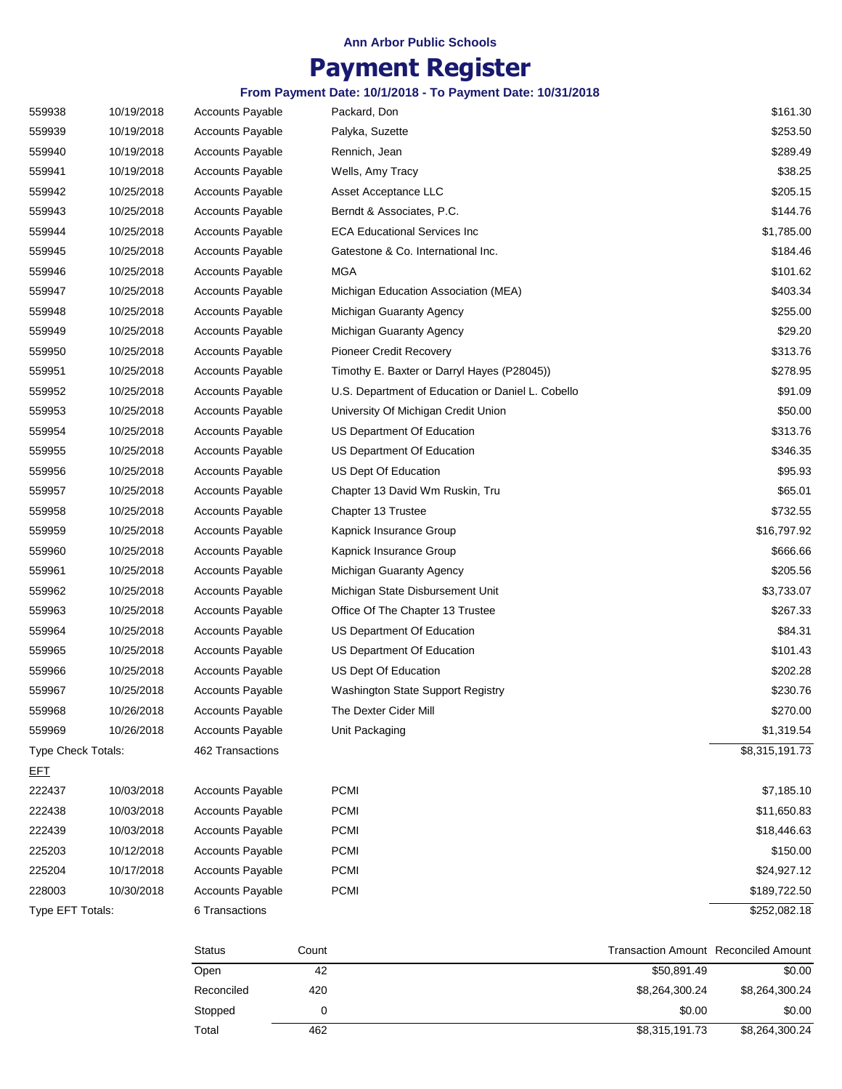## **Payment Register**

| 559938             | 10/19/2018 | <b>Accounts Payable</b> | Packard, Don                                      | \$161.30       |
|--------------------|------------|-------------------------|---------------------------------------------------|----------------|
| 559939             | 10/19/2018 | <b>Accounts Payable</b> | Palyka, Suzette                                   | \$253.50       |
| 559940             | 10/19/2018 | <b>Accounts Payable</b> | Rennich, Jean                                     | \$289.49       |
| 559941             | 10/19/2018 | <b>Accounts Payable</b> | Wells, Amy Tracy                                  | \$38.25        |
| 559942             | 10/25/2018 | <b>Accounts Payable</b> | Asset Acceptance LLC                              | \$205.15       |
| 559943             | 10/25/2018 | <b>Accounts Payable</b> | Berndt & Associates, P.C.                         | \$144.76       |
| 559944             | 10/25/2018 | <b>Accounts Payable</b> | <b>ECA Educational Services Inc</b>               | \$1,785.00     |
| 559945             | 10/25/2018 | <b>Accounts Payable</b> | Gatestone & Co. International Inc.                | \$184.46       |
| 559946             | 10/25/2018 | <b>Accounts Payable</b> | <b>MGA</b>                                        | \$101.62       |
| 559947             | 10/25/2018 | <b>Accounts Payable</b> | Michigan Education Association (MEA)              | \$403.34       |
| 559948             | 10/25/2018 | <b>Accounts Payable</b> | Michigan Guaranty Agency                          | \$255.00       |
| 559949             | 10/25/2018 | <b>Accounts Payable</b> | Michigan Guaranty Agency                          | \$29.20        |
| 559950             | 10/25/2018 | <b>Accounts Payable</b> | Pioneer Credit Recovery                           | \$313.76       |
| 559951             | 10/25/2018 | <b>Accounts Payable</b> | Timothy E. Baxter or Darryl Hayes (P28045))       | \$278.95       |
| 559952             | 10/25/2018 | <b>Accounts Payable</b> | U.S. Department of Education or Daniel L. Cobello | \$91.09        |
| 559953             | 10/25/2018 | <b>Accounts Payable</b> | University Of Michigan Credit Union               | \$50.00        |
| 559954             | 10/25/2018 | <b>Accounts Payable</b> | US Department Of Education                        | \$313.76       |
| 559955             | 10/25/2018 | <b>Accounts Payable</b> | US Department Of Education                        | \$346.35       |
| 559956             | 10/25/2018 | Accounts Payable        | US Dept Of Education                              | \$95.93        |
| 559957             | 10/25/2018 | <b>Accounts Payable</b> | Chapter 13 David Wm Ruskin, Tru                   | \$65.01        |
| 559958             | 10/25/2018 | <b>Accounts Payable</b> | Chapter 13 Trustee                                | \$732.55       |
| 559959             | 10/25/2018 | <b>Accounts Payable</b> | Kapnick Insurance Group                           | \$16,797.92    |
| 559960             | 10/25/2018 | <b>Accounts Payable</b> | Kapnick Insurance Group                           | \$666.66       |
| 559961             | 10/25/2018 | <b>Accounts Payable</b> | Michigan Guaranty Agency                          | \$205.56       |
| 559962             | 10/25/2018 | <b>Accounts Payable</b> | Michigan State Disbursement Unit                  | \$3,733.07     |
| 559963             | 10/25/2018 | <b>Accounts Payable</b> | Office Of The Chapter 13 Trustee                  | \$267.33       |
| 559964             | 10/25/2018 | <b>Accounts Payable</b> | US Department Of Education                        | \$84.31        |
| 559965             | 10/25/2018 | <b>Accounts Payable</b> | US Department Of Education                        | \$101.43       |
| 559966             | 10/25/2018 | <b>Accounts Payable</b> | US Dept Of Education                              | \$202.28       |
| 559967             | 10/25/2018 | <b>Accounts Payable</b> | Washington State Support Registry                 | \$230.76       |
| 559968             | 10/26/2018 | <b>Accounts Payable</b> | The Dexter Cider Mill                             | \$270.00       |
| 559969             | 10/26/2018 | <b>Accounts Payable</b> | Unit Packaging                                    | \$1,319.54     |
| Type Check Totals: |            | 462 Transactions        |                                                   | \$8,315,191.73 |
| <u>EFT</u>         |            |                         |                                                   |                |
| 222437             | 10/03/2018 | <b>Accounts Payable</b> | <b>PCMI</b>                                       | \$7,185.10     |
| 222438             | 10/03/2018 | <b>Accounts Payable</b> | <b>PCMI</b>                                       | \$11,650.83    |
| 222439             | 10/03/2018 | <b>Accounts Payable</b> | <b>PCMI</b>                                       | \$18,446.63    |
| 225203             | 10/12/2018 | <b>Accounts Payable</b> | <b>PCMI</b>                                       | \$150.00       |
| 225204             | 10/17/2018 | <b>Accounts Payable</b> | <b>PCMI</b>                                       | \$24,927.12    |
| 228003             | 10/30/2018 | <b>Accounts Payable</b> | PCMI                                              | \$189,722.50   |
| Type EFT Totals:   |            | 6 Transactions          |                                                   | \$252,082.18   |

| <b>Status</b> | Count | Transaction Amount Reconciled Amount |                |
|---------------|-------|--------------------------------------|----------------|
| Open          | 42    | \$50.891.49                          | \$0.00         |
| Reconciled    | 420   | \$8,264,300.24                       | \$8,264,300.24 |
| Stopped       |       | \$0.00                               | \$0.00         |
| Total         | 462   | \$8,315,191.73                       | \$8,264,300.24 |